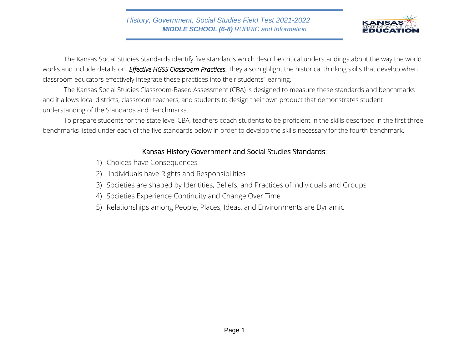

The Kansas Social Studies Standards identify five standards which describe critical understandings about the way the world works and include details on *Effective HGSS Classroom Practices*. They also highlight the historical thinking skills that develop when classroom educators effectively integrate these practices into their students' learning.

The Kansas Social Studies Classroom-Based Assessment (CBA) is designed to measure these standards and benchmarks and it allows local districts, classroom teachers, and students to design their own product that demonstrates student understanding of the Standards and Benchmarks.

To prepare students for the state level CBA, teachers coach students to be proficient in the skills described in the first three benchmarks listed under each of the five standards below in order to develop the skills necessary for the fourth benchmark.

# Kansas History Government and Social Studies Standards:

- 1) Choices have Consequences
- 2) Individuals have Rights and Responsibilities
- 3) Societies are shaped by Identities, Beliefs, and Practices of Individuals and Groups
- 4) Societies Experience Continuity and Change Over Time
- 5) Relationships among People, Places, Ideas, and Environments are Dynamic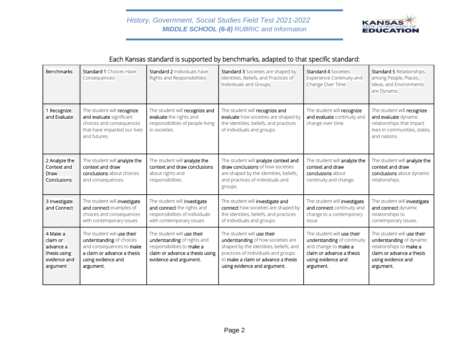

# Each Kansas standard is supported by benchmarks, adapted to that specific standard:

| <b>Benchmarks</b>                                                             | <b>Standard 1 Choices Have</b><br>Consequences                                                                                                       | <b>Standard 2 Individuals have</b><br>Rights and Responsibilities                                                                                    | Standard 3 Societies are shaped by<br>Identities, Beliefs, and Practices of<br>Individuals and Groups                                                                                                                    | <b>Standard 4 Societies</b><br>Experience Continuity and<br>Change Over Time                                                                      | <b>Standard 5 Relationships</b><br>among People, Places,<br>Ideas, and Environments<br>are Dynamic                                                |
|-------------------------------------------------------------------------------|------------------------------------------------------------------------------------------------------------------------------------------------------|------------------------------------------------------------------------------------------------------------------------------------------------------|--------------------------------------------------------------------------------------------------------------------------------------------------------------------------------------------------------------------------|---------------------------------------------------------------------------------------------------------------------------------------------------|---------------------------------------------------------------------------------------------------------------------------------------------------|
| 1 Recognize<br>and Evaluate                                                   | The student will recognize<br>and evaluate significant<br>choices and consequences<br>that have impacted our lives<br>and futures.                   | The student will recognize and<br>evaluate the rights and<br>responsibilities of people living<br>in societies.                                      | The student will recognize and<br>evaluate how societies are shaped by<br>the identities, beliefs, and practices<br>of individuals and groups.                                                                           | The student will recognize<br>and evaluate continuity and<br>change over time.                                                                    | The student will recognize<br>and evaluate dynamic<br>relationships that impact<br>lives in communities, states,<br>and nations.                  |
| 2 Analyze the<br>Context and<br>Draw<br>Conclusions                           | The student will analyze the<br>context and draw<br>conclusions about choices<br>and consequences.                                                   | The student will analyze the<br>context and draw conclusions<br>about rights and<br>responsibilities.                                                | The student will analyze context and<br>draw conclusions of how societies<br>are shaped by the identities, beliefs,<br>and practices of individuals and<br>groups.                                                       | The student will analyze the<br>context and draw<br>conclusions about<br>continuity and change.                                                   | The student will analyze the<br>context and draw<br>conclusions about dynamic<br>relationships.                                                   |
| 3 Investigate<br>and Connect                                                  | The student will investigate<br>and connect examples of<br>choices and consequences<br>with contemporary issues                                      | The student will investigate<br>and connect the rights and<br>responsibilities of individuals<br>with contemporary issues.                           | The student will investigate and<br>connect how societies are shaped by<br>the identities, beliefs, and practices<br>of individuals and groups.                                                                          | The student will investigate<br>and connect continuity and<br>change to a contemporary<br>issue.                                                  | The student will investigate<br>and connect dynamic<br>relationships to<br>contemporary issues.                                                   |
| 4 Make a<br>claim or<br>advance a<br>thesis using<br>evidence and<br>argument | The student will use their<br>understanding of choices<br>and consequences to make<br>a claim or advance a thesis<br>using evidence and<br>argument. | The student will use their<br>understanding of rights and<br>responsibilities to make a<br>claim or advance a thesis using<br>evidence and argument. | The student will use their<br>understanding of how societies are<br>shaped by the identities, beliefs, and<br>practices of individuals and groups<br>to make a claim or advance a thesis<br>using evidence and argument. | The student will use their<br>understanding of continuity<br>and change to make a<br>claim or advance a thesis<br>using evidence and<br>argument. | The student will use their<br>understanding of dynamic<br>relationships to make a<br>claim or advance a thesis<br>using evidence and<br>argument. |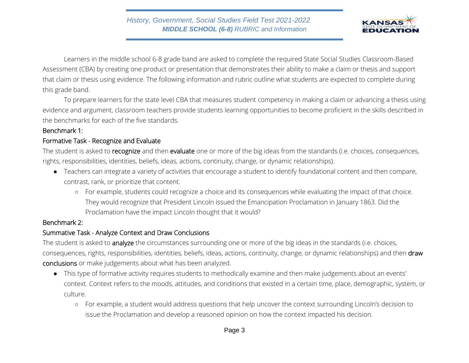

Learners in the middle school 6-8 grade band are asked to complete the required State Social Studies Classroom-Based Assessment (CBA) by creating one product or presentation that demonstrates their ability to make a claim or thesis and support that claim or thesis using evidence. The following information and rubric outline what students are expected to complete during this grade band.

To prepare learners for the state level CBA that measures student competency in making a claim or advancing a thesis using evidence and argument, classroom teachers provide students learning opportunities to become proficient in the skills described in the benchmarks for each of the five standards.

### Benchmark 1:

### Formative Task - Recognize and Evaluate

The student is asked to recognize and then evaluate one or more of the big ideas from the standards (i.e. choices, consequences, rights, responsibilities, identities, beliefs, ideas, actions, continuity, change, or dynamic relationships).

- Teachers can integrate a variety of activities that encourage a student to identify foundational content and then compare, contrast, rank, or prioritize that content.
	- For example, students could recognize a choice and its consequences while evaluating the impact of that choice. They would recognize that President Lincoln issued the Emancipation Proclamation in January 1863. Did the Proclamation have the impact Lincoln thought that it would?

### Benchmark 2:

### Summative Task - Analyze Context and Draw Conclusions

The student is asked to analyze the circumstances surrounding one or more of the big ideas in the standards (i.e. choices, consequences, rights, responsibilities, identities, beliefs, ideas, actions, continuity, change, or dynamic relationships) and then draw conclusions or make judgements about what has been analyzed.

- This type of formative activity requires students to methodically examine and then make judgements about an events' context. Context refers to the moods, attitudes, and conditions that existed in a certain time, place, demographic, system, or culture.
	- For example, a student would address questions that help uncover the context surrounding Lincoln's decision to issue the Proclamation and develop a reasoned opinion on how the context impacted his decision.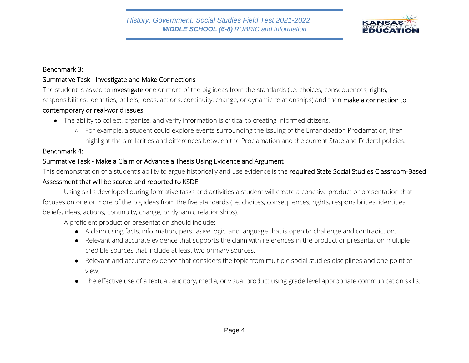

#### Benchmark 3:

# Summative Task - Investigate and Make Connections

The student is asked to *investigate* one or more of the big ideas from the standards (i.e. choices, consequences, rights, responsibilities, identities, beliefs, ideas, actions, continuity, change, or dynamic relationships) and then make a connection to

### contemporary or real-world issues.

- The ability to collect, organize, and verify information is critical to creating informed citizens.
	- For example, a student could explore events surrounding the issuing of the Emancipation Proclamation, then highlight the similarities and differences between the Proclamation and the current State and Federal policies.

### Benchmark 4:

# Summative Task - Make a Claim or Advance a Thesis Using Evidence and Argument

This demonstration of a student's ability to argue historically and use evidence is the required State Social Studies Classroom-Based Assessment that will be scored and reported to KSDE.

Using skills developed during formative tasks and activities a student will create a cohesive product or presentation that focuses on one or more of the big ideas from the five standards (i.e. choices, consequences, rights, responsibilities, identities, beliefs, ideas, actions, continuity, change, or dynamic relationships).

A proficient product or presentation should include:

- A claim using facts, information, persuasive logic, and language that is open to challenge and contradiction.
- Relevant and accurate evidence that supports the claim with references in the product or presentation multiple credible sources that include at least two primary sources.
- Relevant and accurate evidence that considers the topic from multiple social studies disciplines and one point of view.
- The effective use of a textual, auditory, media, or visual product using grade level appropriate communication skills.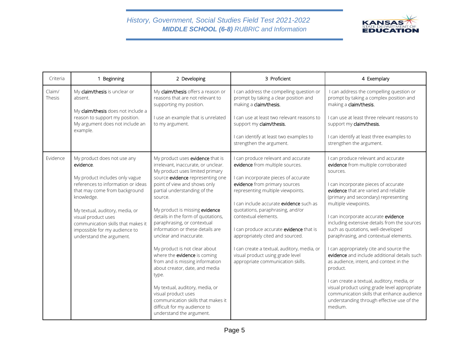

| Criteria         | 1 Beginning                                                                                                                                                                                                                                                                                                                  | 2 Developing                                                                                                                                                                                                                                                                                                                                                                                                                                                                                                                                                                                                                                                                                               | 3 Proficient                                                                                                                                                                                                                                                                                                                                                                                                                                                                                       | 4 Exemplary                                                                                                                                                                                                                                                                                                                                                                                                                                                                                                                                                                                                                                                                                                                                                            |
|------------------|------------------------------------------------------------------------------------------------------------------------------------------------------------------------------------------------------------------------------------------------------------------------------------------------------------------------------|------------------------------------------------------------------------------------------------------------------------------------------------------------------------------------------------------------------------------------------------------------------------------------------------------------------------------------------------------------------------------------------------------------------------------------------------------------------------------------------------------------------------------------------------------------------------------------------------------------------------------------------------------------------------------------------------------------|----------------------------------------------------------------------------------------------------------------------------------------------------------------------------------------------------------------------------------------------------------------------------------------------------------------------------------------------------------------------------------------------------------------------------------------------------------------------------------------------------|------------------------------------------------------------------------------------------------------------------------------------------------------------------------------------------------------------------------------------------------------------------------------------------------------------------------------------------------------------------------------------------------------------------------------------------------------------------------------------------------------------------------------------------------------------------------------------------------------------------------------------------------------------------------------------------------------------------------------------------------------------------------|
| Claim/<br>Thesis | My claim/thesis is unclear or<br>absent.<br>My claim/thesis does not include a<br>reason to support my position.<br>My argument does not include an<br>example.                                                                                                                                                              | My claim/thesis offers a reason or<br>reasons that are not relevant to<br>supporting my position.<br>I use an example that is unrelated<br>to my argument.                                                                                                                                                                                                                                                                                                                                                                                                                                                                                                                                                 | I can address the compelling question or<br>prompt by taking a clear position and<br>making a claim/thesis.<br>I can use at least two relevant reasons to<br>support my claim/thesis.<br>I can identify at least two examples to<br>strengthen the argument.                                                                                                                                                                                                                                       | I can address the compelling question or<br>prompt by taking a complex position and<br>making a claim/thesis.<br>I can use at least three relevant reasons to<br>support my claim/thesis.<br>I can identify at least three examples to<br>strengthen the argument.                                                                                                                                                                                                                                                                                                                                                                                                                                                                                                     |
| Evidence         | My product does not use any<br>evidence.<br>My product includes only vague<br>references to information or ideas<br>that may come from background<br>knowledge.<br>My textual, auditory, media, or<br>visual product uses<br>communication skills that makes it<br>impossible for my audience to<br>understand the argument. | My product uses evidence that is<br>irrelevant, inaccurate, or unclear.<br>My product uses limited primary<br>source evidence representing one<br>point of view and shows only<br>partial understanding of the<br>source.<br>My product is missing evidence<br>details in the form of quotations,<br>paraphrasing, or contextual<br>information or these details are<br>unclear and inaccurate.<br>My product is not clear about<br>where the evidence is coming<br>from and is missing information<br>about creator, date, and media<br>type.<br>My textual, auditory, media, or<br>visual product uses<br>communication skills that makes it<br>difficult for my audience to<br>understand the argument. | I can produce relevant and accurate<br>evidence from multiple sources.<br>I can incorporate pieces of accurate<br>evidence from primary sources<br>representing multiple viewpoints.<br>I can include accurate evidence such as<br>quotations, paraphrasing, and/or<br>contextual elements.<br>I can produce accurate evidence that is<br>appropriately cited and sourced.<br>I can create a textual, auditory, media, or<br>visual product using grade level<br>appropriate communication skills. | I can produce relevant and accurate<br>evidence from multiple corroborated<br>sources.<br>I can incorporate pieces of accurate<br>evidence that are varied and reliable<br>(primary and secondary) representing<br>multiple viewpoints.<br>I can incorporate accurate evidence<br>including extensive details from the sources<br>such as quotations, well-developed<br>paraphrasing, and contextual elements.<br>I can appropriately cite and source the<br>evidence and include additional details such<br>as audience, intent, and context in the<br>product.<br>I can create a textual, auditory, media, or<br>visual product using grade level appropriate<br>communication skills that enhance audience<br>understanding through effective use of the<br>medium. |